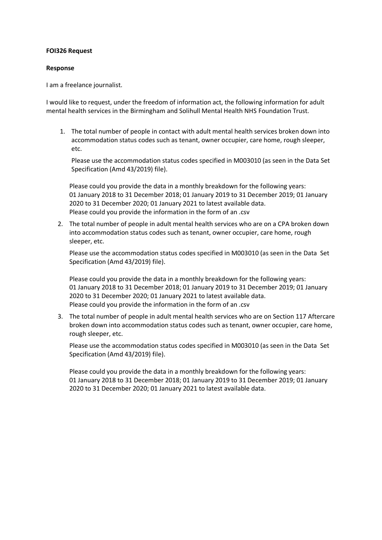## **FOI326 Request**

## **Response**

I am a freelance journalist.

I would like to request, under the freedom of information act, the following information for adult mental health services in the Birmingham and Solihull Mental Health NHS Foundation Trust.

1. The total number of people in contact with adult mental health services broken down into accommodation status codes such as tenant, owner occupier, care home, rough sleeper, etc.

Please use the accommodation status codes specified in M003010 (as seen in th[e Data](https://nhs-prod.global.ssl.fastly.net/binaries/content/assets/website-assets/isce/dcb0011/0011432019datasetspec.xlsm) [Set](https://nhs-prod.global.ssl.fastly.net/binaries/content/assets/website-assets/isce/dcb0011/0011432019datasetspec.xlsm)  [Specification \(Amd 43/2019\)](https://nhs-prod.global.ssl.fastly.net/binaries/content/assets/website-assets/isce/dcb0011/0011432019datasetspec.xlsm) file).

Please could you provide the data in a monthly breakdown for the following years: 01 January 2018 to 31 December 2018; 01 January 2019 to 31 December 2019; 01 January 2020 to 31 December 2020; 01 January 2021 to latest available data. Please could you provide the information in the form of an .csv

2. The total number of people in adult mental health services who are on a CPA broken down into accommodation status codes such as tenant, owner occupier, care home, rough sleeper, etc.

Please use the accommodation status codes specified in M003010 (as seen in the [Data](https://nhs-prod.global.ssl.fastly.net/binaries/content/assets/website-assets/isce/dcb0011/0011432019datasetspec.xlsm) [Set](https://nhs-prod.global.ssl.fastly.net/binaries/content/assets/website-assets/isce/dcb0011/0011432019datasetspec.xlsm)  [Specification \(Amd 43/2019\)](https://nhs-prod.global.ssl.fastly.net/binaries/content/assets/website-assets/isce/dcb0011/0011432019datasetspec.xlsm) file).

Please could you provide the data in a monthly breakdown for the following years: 01 January 2018 to 31 December 2018; 01 January 2019 to 31 December 2019; 01 January 2020 to 31 December 2020; 01 January 2021 to latest available data. Please could you provide the information in the form of an .csv

3. The total number of people in adult mental health services who are on Section 117 Aftercare broken down into accommodation status codes such as tenant, owner occupier, care home, rough sleeper, etc.

Please use the accommodation status codes specified in M003010 (as seen in the [Data](https://nhs-prod.global.ssl.fastly.net/binaries/content/assets/website-assets/isce/dcb0011/0011432019datasetspec.xlsm) [Set](https://nhs-prod.global.ssl.fastly.net/binaries/content/assets/website-assets/isce/dcb0011/0011432019datasetspec.xlsm)  [Specification \(Amd 43/2019\)](https://nhs-prod.global.ssl.fastly.net/binaries/content/assets/website-assets/isce/dcb0011/0011432019datasetspec.xlsm) file).

Please could you provide the data in a monthly breakdown for the following years: 01 January 2018 to 31 December 2018; 01 January 2019 to 31 December 2019; 01 January 2020 to 31 December 2020; 01 January 2021 to latest available data.